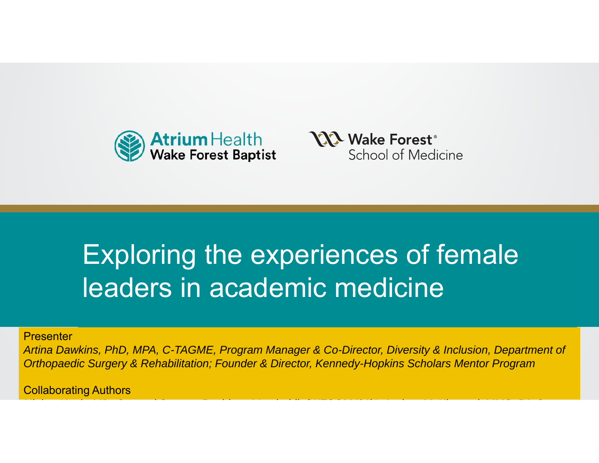



*C*

# Exploring the experiences of female leaders in academic medicine

**Presenter** 

9. and parties bargery and non-*Artina Dawkins, PhD, MPA, C-TAGME, Program Manager & Co-Director, Diversity & Inclusion, Department of Orthopaedic Surgery & Rehabilitation; Founder & Director, Kennedy-Hopkins Scholars Mentor Program*

*Ni b K h MD G l S R id V d bil (WFSOM '21)\* A d M Ki d MMS PA*

Collaborating Authors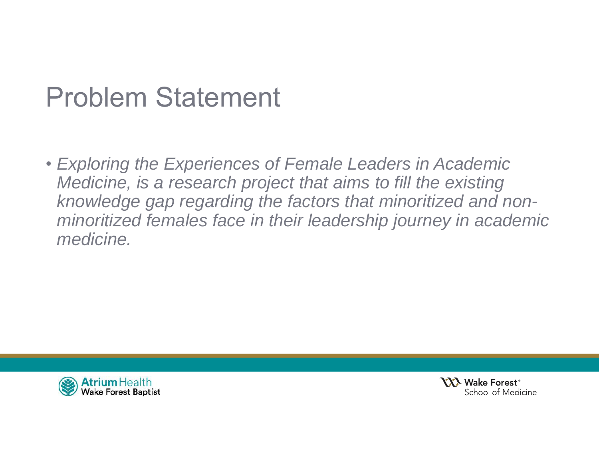## Problem Statement

• *Exploring the Experiences of Female Leaders in Academic Medicine, is a research project that aims to fill the existing knowledge gap regarding the factors that minoritized and nonminoritized females face in their leadership journey in academic medicine.*



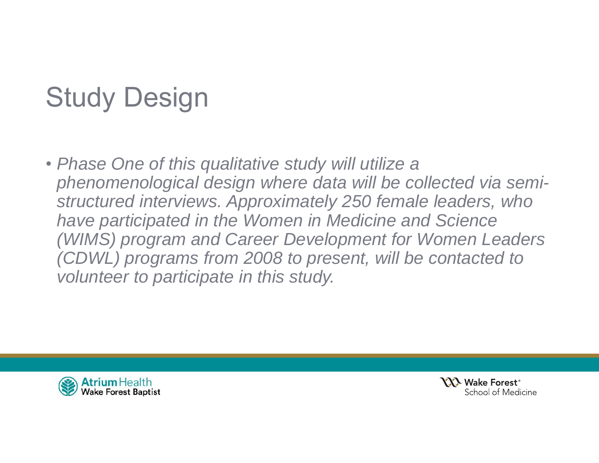# Study Design

• *Phase One of this qualitative study will utilize a phenomenological design where data will be collected via semistructured interviews. Approximately 250 female leaders, who have participated in the Women in Medicine and Science (WIMS) program and Career Development for Women Leaders (CDWL) programs from 2008 to present, will be contacted to volunteer to participate in this study.* 



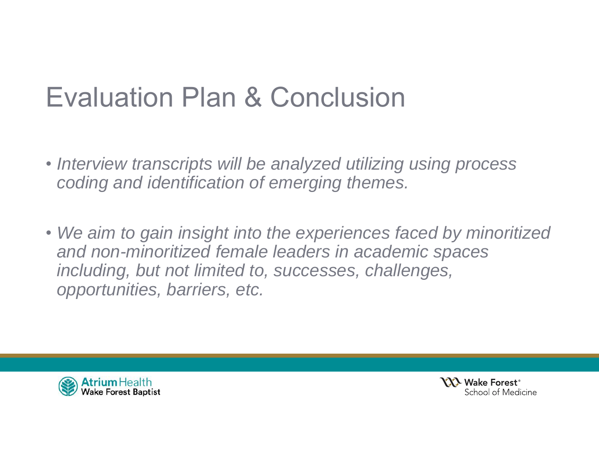## Evaluation Plan & Conclusion

- *Interview transcripts will be analyzed utilizing using process coding and identification of emerging themes.*
- *We aim to gain insight into the experiences faced by minoritized and non-minoritized female leaders in academic spaces including, but not limited to, successes, challenges, opportunities, barriers, etc.*



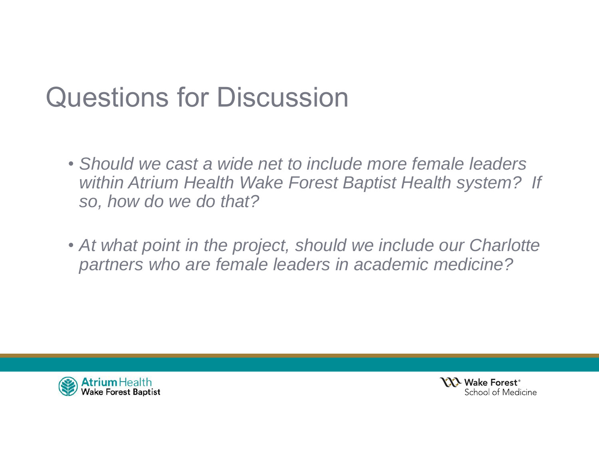## Questions for Discussion

- *Should we cast a wide net to include more female leaders within Atrium Health Wake Forest Baptist Health system? If so, how do we do that?*
- *At what point in the project, should we include our Charlotte partners who are female leaders in academic medicine?*